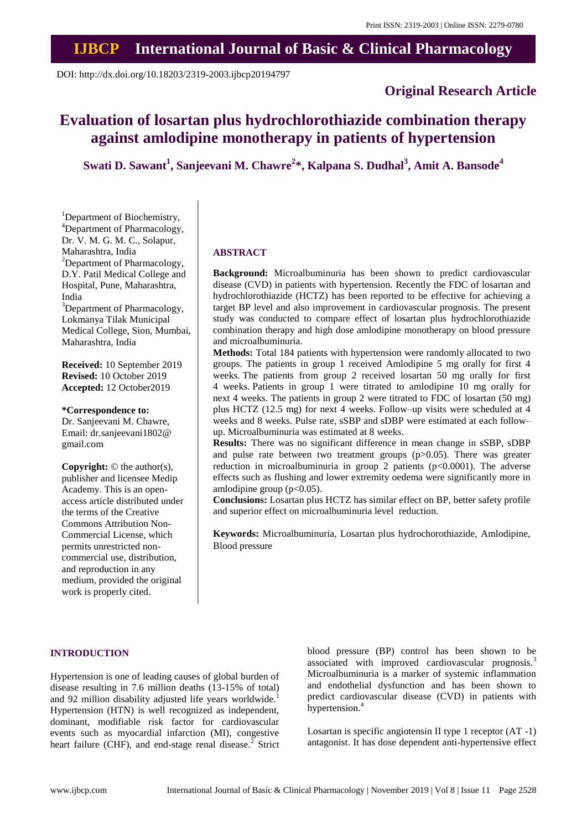## **IJBCP International Journal of Basic & Clinical Pharmacology**

DOI: http://dx.doi.org/10.18203/2319-2003.ijbcp20194797

## **Original Research Article**

# **Evaluation of losartan plus hydrochlorothiazide combination therapy against amlodipine monotherapy in patients of hypertension**

**Swati D. Sawant<sup>1</sup> , Sanjeevani M. Chawre<sup>2</sup> \*, Kalpana S. Dudhal<sup>3</sup> , Amit A. Bansode<sup>4</sup>**

<sup>1</sup>Department of Biochemistry, <sup>4</sup>Department of Pharmacology, Dr. V. M. G. M. C., Solapur, Maharashtra, India <sup>2</sup>Department of Pharmacology, D.Y. Patil Medical College and Hospital, Pune, Maharashtra, India <sup>3</sup>Department of Pharmacology,

Lokmanya Tilak Municipal Medical College, Sion, Mumbai, Maharashtra, India

**Received:** 10 September 2019 **Revised:** 10 October 2019 **Accepted:** 12 October2019

**\*Correspondence to:** Dr. Sanjeevani M. Chawre, Email: dr.sanjeevani1802@ gmail.com

**Copyright:** © the author(s), publisher and licensee Medip Academy. This is an openaccess article distributed under the terms of the Creative Commons Attribution Non-Commercial License, which permits unrestricted noncommercial use, distribution, and reproduction in any medium, provided the original work is properly cited.

#### **ABSTRACT**

**Background:** Microalbuminuria has been shown to predict cardiovascular disease (CVD) in patients with hypertension. Recently the FDC of losartan and hydrochlorothiazide (HCTZ) has been reported to be effective for achieving a target BP level and also improvement in cardiovascular prognosis. The present study was conducted to compare effect of losartan plus hydrochlorothiazide combination therapy and high dose amlodipine monotherapy on blood pressure and microalbuminuria.

**Methods:** Total 184 patients with hypertension were randomly allocated to two groups. The patients in group 1 received Amlodipine 5 mg orally for first 4 weeks. The patients from group 2 received losartan 50 mg orally for first 4 weeks. Patients in group 1 were titrated to amlodipine 10 mg orally for next 4 weeks. The patients in group 2 were titrated to FDC of losartan (50 mg) plus HCTZ (12.5 mg) for next 4 weeks. Follow–up visits were scheduled at 4 weeks and 8 weeks. Pulse rate, sSBP and sDBP were estimated at each follow– up. Microalbuminuria was estimated at 8 weeks.

**Results:** There was no significant difference in mean change in sSBP, sDBP and pulse rate between two treatment groups (p>0.05). There was greater reduction in microalbuminuria in group 2 patients  $(p<0.0001)$ . The adverse effects such as flushing and lower extremity oedema were significantly more in amlodipine group (p<0.05).

**Conclusions:** Losartan plus HCTZ has similar effect on BP, better safety profile and superior effect on microalbuminuria level reduction.

**Keywords:** Microalbuminuria, Losartan plus hydrochorothiazide, Amlodipine, Blood pressure

#### **INTRODUCTION**

Hypertension is one of leading causes of global burden of disease resulting in 7.6 million deaths (13-15% of total) and 92 million disability adjusted life years worldwide.<sup>1</sup> Hypertension (HTN) is well recognized as independent, dominant, modifiable risk factor for cardiovascular events such as myocardial infarction (MI), congestive heart failure (CHF), and end-stage renal disease.<sup>2</sup> Strict blood pressure (BP) control has been shown to be associated with improved cardiovascular prognosis.<sup>3</sup> Microalbuminuria is a marker of systemic inflammation and endothelial dysfunction and has been shown to predict cardiovascular disease (CVD) in patients with hypertension.<sup>4</sup>

Losartan is specific angiotensin II type 1 receptor (AT -1) antagonist. It has dose dependent anti-hypertensive effect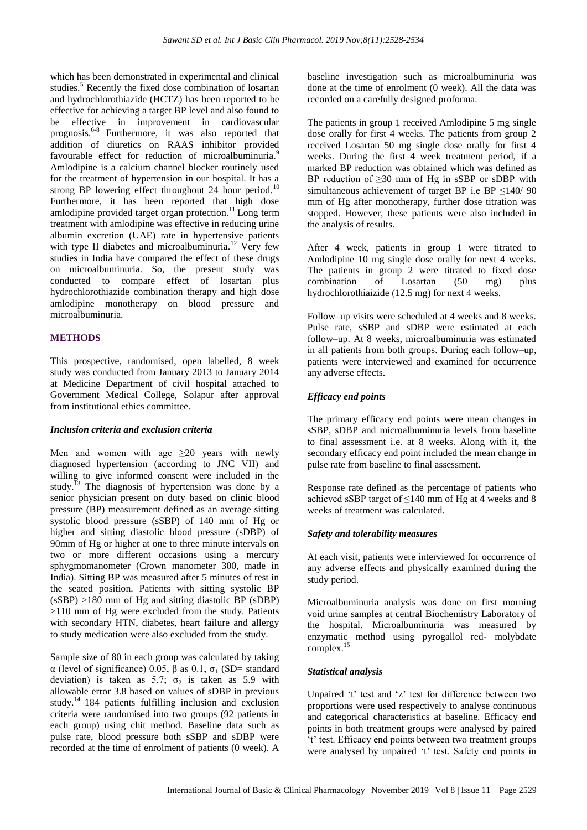which has been demonstrated in experimental and clinical studies.<sup>5</sup> Recently the fixed dose combination of losartan and hydrochlorothiazide (HCTZ) has been reported to be effective for achieving a target BP level and also found to be effective in improvement in cardiovascular prognosis.<sup>6-8</sup> Furthermore, it was also reported that addition of diuretics on RAAS inhibitor provided favourable effect for reduction of microalbuminuria.<sup>9</sup> Amlodipine is a calcium channel blocker routinely used for the treatment of hypertension in our hospital. It has a strong BP lowering effect throughout 24 hour period.<sup>10</sup> Furthermore, it has been reported that high dose amlodipine provided target organ protection.<sup>11</sup> Long term treatment with amlodipine was effective in reducing urine albumin excretion (UAE) rate in hypertensive patients with type II diabetes and microalbuminuria.<sup>12</sup> Very few studies in India have compared the effect of these drugs on microalbuminuria. So, the present study was conducted to compare effect of losartan plus hydrochlorothiazide combination therapy and high dose amlodipine monotherapy on blood pressure and microalbuminuria.

#### **METHODS**

This prospective, randomised, open labelled, 8 week study was conducted from January 2013 to January 2014 at Medicine Department of civil hospital attached to Government Medical College, Solapur after approval from institutional ethics committee.

#### *Inclusion criteria and exclusion criteria*

Men and women with age  $\geq 20$  years with newly diagnosed hypertension (according to JNC VII) and willing to give informed consent were included in the study.<sup>13</sup> The diagnosis of hypertension was done by a senior physician present on duty based on clinic blood pressure (BP) measurement defined as an average sitting systolic blood pressure (sSBP) of 140 mm of Hg or higher and sitting diastolic blood pressure (sDBP) of 90mm of Hg or higher at one to three minute intervals on two or more different occasions using a mercury sphygmomanometer (Crown manometer 300, made in India). Sitting BP was measured after 5 minutes of rest in the seated position. Patients with sitting systolic BP  $(sSBP) > 180$  mm of Hg and sitting diastolic BP  $(sDBP)$ >110 mm of Hg were excluded from the study. Patients with secondary HTN, diabetes, heart failure and allergy to study medication were also excluded from the study.

Sample size of 80 in each group was calculated by taking α (level of significance) 0.05, β as 0.1,  $\sigma_1$  (SD= standard deviation) is taken as 5.7;  $\sigma_2$  is taken as 5.9 with allowable error 3.8 based on values of sDBP in previous study.<sup>14</sup> 184 patients fulfilling inclusion and exclusion criteria were randomised into two groups (92 patients in each group) using chit method. Baseline data such as pulse rate, blood pressure both sSBP and sDBP were recorded at the time of enrolment of patients (0 week). A

baseline investigation such as microalbuminuria was done at the time of enrolment (0 week). All the data was recorded on a carefully designed proforma.

The patients in group 1 received Amlodipine 5 mg single dose orally for first 4 weeks. The patients from group 2 received Losartan 50 mg single dose orally for first 4 weeks. During the first 4 week treatment period, if a marked BP reduction was obtained which was defined as BP reduction of  $\geq$ 30 mm of Hg in sSBP or sDBP with simultaneous achievement of target BP i.e BP  $\leq$ 140/90 mm of Hg after monotherapy, further dose titration was stopped. However, these patients were also included in the analysis of results.

After 4 week, patients in group 1 were titrated to Amlodipine 10 mg single dose orally for next 4 weeks. The patients in group 2 were titrated to fixed dose combination of Losartan (50 mg) plus hydrochlorothiaizide (12.5 mg) for next 4 weeks.

Follow–up visits were scheduled at 4 weeks and 8 weeks. Pulse rate, sSBP and sDBP were estimated at each follow–up. At 8 weeks, microalbuminuria was estimated in all patients from both groups. During each follow–up, patients were interviewed and examined for occurrence any adverse effects.

#### *Efficacy end points*

The primary efficacy end points were mean changes in sSBP, sDBP and microalbuminuria levels from baseline to final assessment i.e. at 8 weeks. Along with it, the secondary efficacy end point included the mean change in pulse rate from baseline to final assessment.

Response rate defined as the percentage of patients who achieved sSBP target of  $\leq$ 140 mm of Hg at 4 weeks and 8 weeks of treatment was calculated.

#### *Safety and tolerability measures*

At each visit, patients were interviewed for occurrence of any adverse effects and physically examined during the study period.

Microalbuminuria analysis was done on first morning void urine samples at central Biochemistry Laboratory of the hospital. Microalbuminuria was measured by enzymatic method using pyrogallol red- molybdate complex.<sup>15</sup>

#### *Statistical analysis*

Unpaired 't' test and 'z' test for difference between two proportions were used respectively to analyse continuous and categorical characteristics at baseline. Efficacy end points in both treatment groups were analysed by paired 't' test. Efficacy end points between two treatment groups were analysed by unpaired 't' test. Safety end points in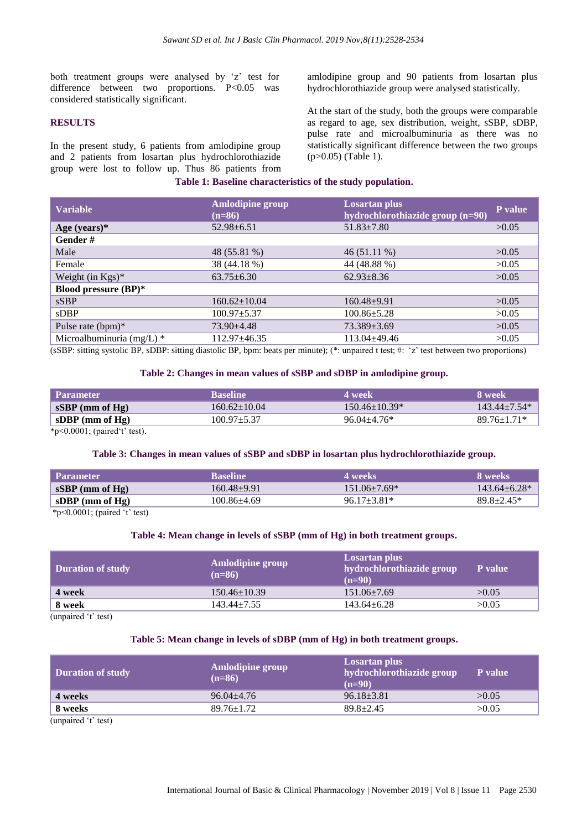both treatment groups were analysed by 'z' test for difference between two proportions.  $P<0.05$  was considered statistically significant.

#### **RESULTS**

In the present study, 6 patients from amlodipine group and 2 patients from losartan plus hydrochlorothiazide group were lost to follow up. Thus 86 patients from amlodipine group and 90 patients from losartan plus hydrochlorothiazide group were analysed statistically.

At the start of the study, both the groups were comparable as regard to age, sex distribution, weight, sSBP, sDBP, pulse rate and microalbuminuria as there was no statistically significant difference between the two groups (p>0.05) (Table 1).

#### **Table 1: Baseline characteristics of the study population.**

| <b>Variable</b>             | <b>Amlodipine group</b><br>$(n=86)$ | <b>Losartan plus</b><br>hydrochlorothiazide group (n=90) | P value |
|-----------------------------|-------------------------------------|----------------------------------------------------------|---------|
| Age (years) $*$             | $52.98 + 6.51$                      | $51.83 \pm 7.80$                                         | >0.05   |
| Gender#                     |                                     |                                                          |         |
| Male                        | 48 (55.81 %)                        | $46(51.11\%)$                                            | >0.05   |
| Female                      | 38 (44.18 %)                        | 44 (48.88 %)                                             | >0.05   |
| Weight (in $Kgs$ )*         | $63.75 \pm 6.30$                    | $62.93 \pm 8.36$                                         | >0.05   |
| <b>Blood pressure (BP)*</b> |                                     |                                                          |         |
| sSBP                        | $160.62 \pm 10.04$                  | $160.48 + 9.91$                                          | >0.05   |
| $s$ DBP                     | $100.97 \pm 5.37$                   | $100.86 \pm 5.28$                                        | >0.05   |
| Pulse rate $(bpm)^*$        | $73.90 + 4.48$                      | 73.389±3.69                                              | >0.05   |
| Microalbuminuria (mg/L) *   | 112.97±46.35                        | $113.04 \pm 49.46$                                       | >0.05   |

(sSBP: sitting systolic BP, sDBP: sitting diastolic BP, bpm: beats per minute); (\*: unpaired t test; #: 'z' test between two proportions)

#### **Table 2: Changes in mean values of sSBP and sDBP in amlodipine group.**

| <b>Parameter</b>   | <b>Baseline</b>    | 4 week            | 8 week           |
|--------------------|--------------------|-------------------|------------------|
| $sSBP$ (mm of Hg)  | $160.62 \pm 10.04$ | $150.46 + 10.39*$ | $143.44 + 7.54*$ |
| sDBP (mm of $Hg$ ) | 100.97±5.37        | $96.04 + 4.76*$   | $89.76 + 1.71*$  |

\*p<0.0001; (paired't' test).

#### **Table 3: Changes in mean values of sSBP and sDBP in losartan plus hydrochlorothiazide group.**

| <b>Parameter</b>  | <b>Baseline</b> | 4 weeks          | 8 weeks          |
|-------------------|-----------------|------------------|------------------|
| $sSBP$ (mm of Hg) | $160.48 + 9.91$ | $151.06\pm7.69*$ | $143.64 + 6.28*$ |
| sDBP (mm of Hg)   | $100.86 + 4.69$ | $96.17 + 3.81*$  | $89.8 \pm 2.45*$ |
|                   |                 |                  |                  |

\*p<0.0001; (paired 't' test)

#### **Table 4: Mean change in levels of sSBP (mm of Hg) in both treatment groups.**

| <b>Duration of study</b>                                                    | Amlodipine group<br>$(n=86)$ | Losartan plus<br>hydrochlorothiazide group<br>$(n=90)$ | P value |
|-----------------------------------------------------------------------------|------------------------------|--------------------------------------------------------|---------|
| 4 week                                                                      | $150.46 \pm 10.39$           | $151.06 \pm 7.69$                                      | >0.05   |
| 8 week                                                                      | $143.44 \pm 7.55$            | $143.64 \pm 6.28$                                      | >0.05   |
| $\lambda$ . The second contract $\lambda$ is a second contract of $\lambda$ |                              |                                                        |         |

(unpaired 't' test)

#### **Table 5: Mean change in levels of sDBP (mm of Hg) in both treatment groups.**

| <b>Amlodipine group</b><br>$(n=86)$ | Losartan plus<br>hydrochlorothiazide group<br>$(n=90)$ | <b>P</b> value |
|-------------------------------------|--------------------------------------------------------|----------------|
| $96.04 + 4.76$                      | $96.18 \pm 3.81$                                       | >0.05          |
| $89.76 \pm 1.72$                    | $89.8 \pm 2.45$                                        | >0.05          |
|                                     |                                                        |                |

(unpaired 't' test)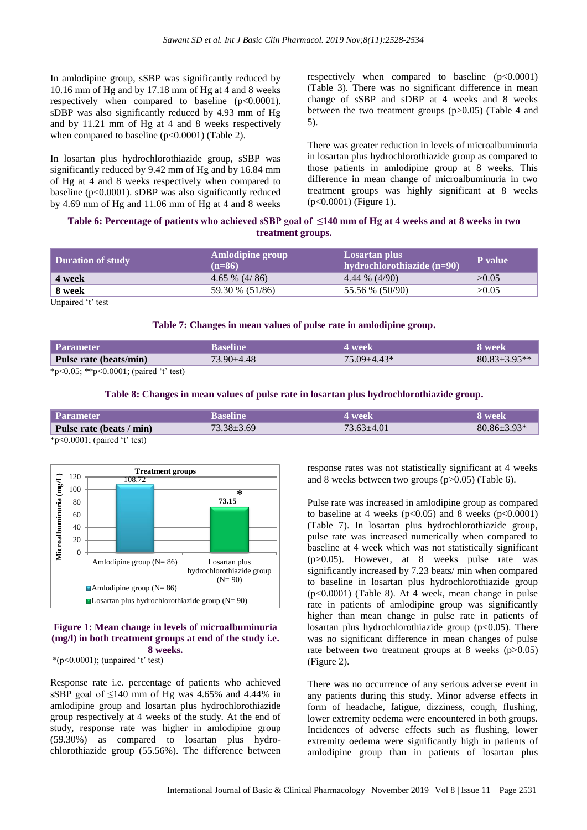In amlodipine group, sSBP was significantly reduced by 10.16 mm of Hg and by 17.18 mm of Hg at 4 and 8 weeks respectively when compared to baseline (p<0.0001). sDBP was also significantly reduced by 4.93 mm of Hg and by 11.21 mm of Hg at 4 and 8 weeks respectively when compared to baseline  $(p<0.0001)$  (Table 2).

In losartan plus hydrochlorothiazide group, sSBP was significantly reduced by 9.42 mm of Hg and by 16.84 mm of Hg at 4 and 8 weeks respectively when compared to baseline (p<0.0001). sDBP was also significantly reduced by 4.69 mm of Hg and 11.06 mm of Hg at 4 and 8 weeks

respectively when compared to baseline (p<0.0001) (Table 3). There was no significant difference in mean change of sSBP and sDBP at 4 weeks and 8 weeks between the two treatment groups (p>0.05) (Table 4 and 5).

There was greater reduction in levels of microalbuminuria in losartan plus hydrochlorothiazide group as compared to those patients in amlodipine group at 8 weeks. This difference in mean change of microalbuminuria in two treatment groups was highly significant at 8 weeks (p<0.0001) (Figure 1).

## **Table 6: Percentage of patients who achieved sSBP goal of ≤140 mm of Hg at 4 weeks and at 8 weeks in two treatment groups.**

| <b>Duration of study</b> | Amlodipine group<br>$(n=86)$ | Losartan plus<br>hydrochlorothiazide (n=90) | P value |
|--------------------------|------------------------------|---------------------------------------------|---------|
| 4 week                   | $4.65\%$ (4/86)              | $4.44\%$ (4/90)                             | >0.05   |
| 8 week                   | 59.30 % (51/86)              | 55.56 % (50/90)                             | >0.05   |
|                          |                              |                                             |         |

Unpaired 't' test

#### **Table 7: Changes in mean values of pulse rate in amlodipine group.**

| Parameter                                                                                                                                                                                                                                                                                                         | Baseline         | 4 week          | 8 week           |
|-------------------------------------------------------------------------------------------------------------------------------------------------------------------------------------------------------------------------------------------------------------------------------------------------------------------|------------------|-----------------|------------------|
| Pulse rate (beats/min)                                                                                                                                                                                                                                                                                            | $73.90 \pm 4.48$ | $75.09 + 4.43*$ | $80.83 + 3.95**$ |
| $\mathcal{L}$ and $\mathcal{L}$ and $\mathcal{L}$ and $\mathcal{L}$ and $\mathcal{L}$ and $\mathcal{L}$ and $\mathcal{L}$ and $\mathcal{L}$ and $\mathcal{L}$ and $\mathcal{L}$ and $\mathcal{L}$ and $\mathcal{L}$ and $\mathcal{L}$ and $\mathcal{L}$ and $\mathcal{L}$ and $\mathcal{L}$ and $\mathcal{L}$ and |                  |                 |                  |

\*p<0.05; \*\*p<0.0001; (paired 't' test)

#### **Table 8: Changes in mean values of pulse rate in losartan plus hydrochlorothiazide group.**

| <b>Parameter</b>                                                                     | Baseline       | l week           | 8 week'           |
|--------------------------------------------------------------------------------------|----------------|------------------|-------------------|
| Pulse rate (beats / min)                                                             | $73.38 + 3.69$ | $73.63 \pm 4.01$ | $80.86 \pm 3.93*$ |
| $\therefore$ $\wedge$ $\wedge$ $\wedge$ $\wedge$ $\wedge$ $\wedge$ $\wedge$ $\wedge$ |                |                  |                   |

\*p<0.0001; (paired 't' test)



#### **Figure 1: Mean change in levels of microalbuminuria (mg/l) in both treatment groups at end of the study i.e. 8 weeks.**

 $*(p<0.0001)$ ; (unpaired 't' test)

Response rate i.e. percentage of patients who achieved sSBP goal of  $\leq 140$  mm of Hg was 4.65% and 4.44% in amlodipine group and losartan plus hydrochlorothiazide group respectively at 4 weeks of the study. At the end of study, response rate was higher in amlodipine group (59.30%) as compared to losartan plus hydrochlorothiazide group (55.56%). The difference between

response rates was not statistically significant at 4 weeks and 8 weeks between two groups (p>0.05) (Table 6).

Pulse rate was increased in amlodipine group as compared to baseline at 4 weeks  $(p<0.05)$  and 8 weeks  $(p<0.0001)$ (Table 7). In losartan plus hydrochlorothiazide group, pulse rate was increased numerically when compared to baseline at 4 week which was not statistically significant (p>0.05). However, at 8 weeks pulse rate was significantly increased by 7.23 beats/ min when compared to baseline in losartan plus hydrochlorothiazide group (p<0.0001) (Table 8). At 4 week, mean change in pulse rate in patients of amlodipine group was significantly higher than mean change in pulse rate in patients of losartan plus hydrochlorothiazide group  $(p<0.05)$ . There was no significant difference in mean changes of pulse rate between two treatment groups at 8 weeks (p>0.05) (Figure 2).

There was no occurrence of any serious adverse event in any patients during this study. Minor adverse effects in form of headache, fatigue, dizziness, cough, flushing, lower extremity oedema were encountered in both groups. Incidences of adverse effects such as flushing, lower extremity oedema were significantly high in patients of amlodipine group than in patients of losartan plus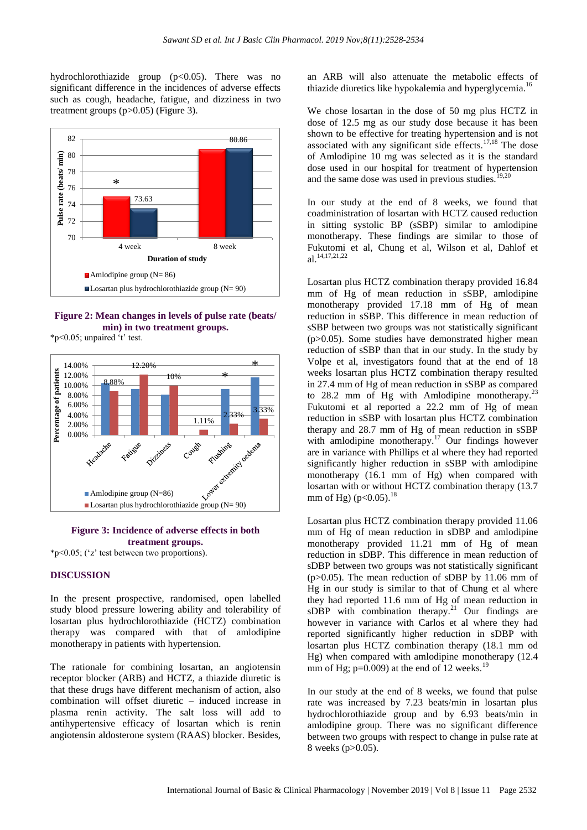hydrochlorothiazide group (p<0.05). There was no significant difference in the incidences of adverse effects such as cough, headache, fatigue, and dizziness in two treatment groups (p>0.05) (Figure 3).



**Figure 2: Mean changes in levels of pulse rate (beats/ min) in two treatment groups.**

\*p<0.05; unpaired 't' test.



### **Figure 3: Incidence of adverse effects in both treatment groups.**

\*p<0.05; ('z' test between two proportions).

#### **DISCUSSION**

In the present prospective, randomised, open labelled study blood pressure lowering ability and tolerability of losartan plus hydrochlorothiazide (HCTZ) combination therapy was compared with that of amlodipine monotherapy in patients with hypertension.

The rationale for combining losartan, an angiotensin receptor blocker (ARB) and HCTZ, a thiazide diuretic is that these drugs have different mechanism of action, also combination will offset diuretic – induced increase in plasma renin activity. The salt loss will add to antihypertensive efficacy of losartan which is renin angiotensin aldosterone system (RAAS) blocker. Besides,

an ARB will also attenuate the metabolic effects of thiazide diuretics like hypokalemia and hyperglycemia.<sup>1</sup>

We chose losartan in the dose of 50 mg plus HCTZ in dose of 12.5 mg as our study dose because it has been shown to be effective for treating hypertension and is not associated with any significant side effects. $17,18$  The dose of Amlodipine 10 mg was selected as it is the standard dose used in our hospital for treatment of hypertension and the same dose was used in previous studies.<sup>19,20</sup>

In our study at the end of 8 weeks, we found that coadministration of losartan with HCTZ caused reduction in sitting systolic BP (sSBP) similar to amlodipine monotherapy. These findings are similar to those of Fukutomi et al, Chung et al, Wilson et al, Dahlof et al.14,17,21,22

Losartan plus HCTZ combination therapy provided 16.84 mm of Hg of mean reduction in sSBP, amlodipine monotherapy provided 17.18 mm of Hg of mean reduction in sSBP. This difference in mean reduction of sSBP between two groups was not statistically significant (p>0.05). Some studies have demonstrated higher mean reduction of sSBP than that in our study. In the study by Volpe et al, investigators found that at the end of 18 weeks losartan plus HCTZ combination therapy resulted in 27.4 mm of Hg of mean reduction in sSBP as compared to 28.2 mm of Hg with Amlodipine monotherapy. $^{23}$ Fukutomi et al reported a 22.2 mm of Hg of mean reduction in sSBP with losartan plus HCTZ combination therapy and 28.7 mm of Hg of mean reduction in sSBP with amlodipine monotherapy.<sup>17</sup> Our findings however are in variance with Phillips et al where they had reported significantly higher reduction in sSBP with amlodipine monotherapy (16.1 mm of Hg) when compared with losartan with or without HCTZ combination therapy (13.7 mm of Hg) ( $p<0.05$ ).<sup>18</sup>

Losartan plus HCTZ combination therapy provided 11.06 mm of Hg of mean reduction in sDBP and amlodipine monotherapy provided 11.21 mm of Hg of mean reduction in sDBP. This difference in mean reduction of sDBP between two groups was not statistically significant  $(p>0.05)$ . The mean reduction of sDBP by 11.06 mm of Hg in our study is similar to that of Chung et al where they had reported 11.6 mm of Hg of mean reduction in sDBP with combination therapy.<sup>21</sup> Our findings are however in variance with Carlos et al where they had reported significantly higher reduction in sDBP with losartan plus HCTZ combination therapy (18.1 mm od Hg) when compared with amlodipine monotherapy (12.4 mm of Hg;  $p=0.009$ ) at the end of 12 weeks.<sup>19</sup>

In our study at the end of 8 weeks, we found that pulse rate was increased by 7.23 beats/min in losartan plus hydrochlorothiazide group and by 6.93 beats/min in amlodipine group. There was no significant difference between two groups with respect to change in pulse rate at 8 weeks (p>0.05).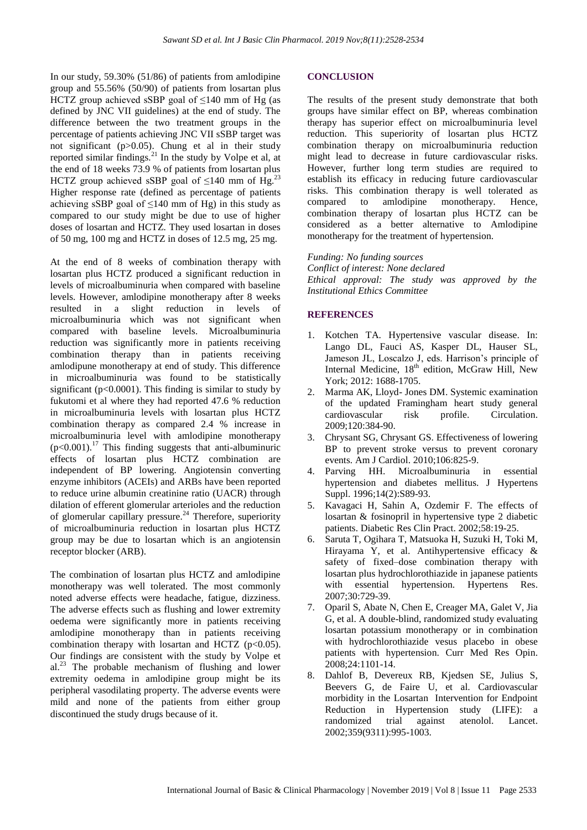In our study, 59.30% (51/86) of patients from amlodipine group and 55.56% (50/90) of patients from losartan plus HCTZ group achieved sSBP goal of  $\leq$ 140 mm of Hg (as defined by JNC VII guidelines) at the end of study. The difference between the two treatment groups in the percentage of patients achieving JNC VII sSBP target was not significant (p>0.05). Chung et al in their study reported similar findings.<sup>21</sup> In the study by Volpe et al, at the end of 18 weeks 73.9 % of patients from losartan plus HCTZ group achieved sSBP goal of  $\leq$ 140 mm of Hg.<sup>23</sup> Higher response rate (defined as percentage of patients achieving sSBP goal of  $\leq$ 140 mm of Hg) in this study as compared to our study might be due to use of higher doses of losartan and HCTZ. They used losartan in doses of 50 mg, 100 mg and HCTZ in doses of 12.5 mg, 25 mg.

At the end of 8 weeks of combination therapy with losartan plus HCTZ produced a significant reduction in levels of microalbuminuria when compared with baseline levels. However, amlodipine monotherapy after 8 weeks resulted in a slight reduction in levels of microalbuminuria which was not significant when compared with baseline levels. Microalbuminuria reduction was significantly more in patients receiving combination therapy than in patients receiving amlodipune monotherapy at end of study. This difference in microalbuminuria was found to be statistically significant ( $p<0.0001$ ). This finding is similar to study by fukutomi et al where they had reported 47.6 % reduction in microalbuminuria levels with losartan plus HCTZ combination therapy as compared 2.4 % increase in microalbuminuria level with amlodipine monotherapy  $(p<0.001)$ .<sup>17</sup> This finding suggests that anti-albuminuric effects of losartan plus HCTZ combination are independent of BP lowering. Angiotensin converting enzyme inhibitors (ACEIs) and ARBs have been reported to reduce urine albumin creatinine ratio (UACR) through dilation of efferent glomerular arterioles and the reduction of glomerular capillary pressure.<sup>24</sup> Therefore, superiority of microalbuminuria reduction in losartan plus HCTZ group may be due to losartan which is an angiotensin receptor blocker (ARB).

The combination of losartan plus HCTZ and amlodipine monotherapy was well tolerated. The most commonly noted adverse effects were headache, fatigue, dizziness. The adverse effects such as flushing and lower extremity oedema were significantly more in patients receiving amlodipine monotherapy than in patients receiving combination therapy with losartan and HCTZ  $(p<0.05)$ . Our findings are consistent with the study by Volpe et  $al^{23}$ . The probable mechanism of flushing and lower extremity oedema in amlodipine group might be its peripheral vasodilating property. The adverse events were mild and none of the patients from either group discontinued the study drugs because of it.

#### **CONCLUSION**

The results of the present study demonstrate that both groups have similar effect on BP, whereas combination therapy has superior effect on microalbuminuria level reduction. This superiority of losartan plus HCTZ combination therapy on microalbuminuria reduction might lead to decrease in future cardiovascular risks. However, further long term studies are required to establish its efficacy in reducing future cardiovascular risks. This combination therapy is well tolerated as compared to amlodipine monotherapy. Hence, combination therapy of losartan plus HCTZ can be considered as a better alternative to Amlodipine monotherapy for the treatment of hypertension.

#### *Funding: No funding sources*

*Conflict of interest: None declared Ethical approval: The study was approved by the Institutional Ethics Committee*

#### **REFERENCES**

- 1. Kotchen TA. Hypertensive vascular disease. In: Lango DL, Fauci AS, Kasper DL, Hauser SL, Jameson JL, Loscalzo J, eds. Harrison's principle of Internal Medicine, 18<sup>th</sup> edition, McGraw Hill, New York; 2012: 1688-1705.
- 2. Marma AK, Lloyd- Jones DM. Systemic examination of the updated Framingham heart study general cardiovascular risk profile. Circulation. 2009;120:384-90.
- 3. Chrysant SG, Chrysant GS. Effectiveness of lowering BP to prevent stroke versus to prevent coronary events. Am J Cardiol. 2010;106:825-9.
- 4. Parving HH. Microalbuminuria in essential hypertension and diabetes mellitus. J Hypertens Suppl. 1996;14(2):S89-93.
- 5. Kavagaci H, Sahin A, Ozdemir F. The effects of losartan & fosinopril in hypertensive type 2 diabetic patients. Diabetic Res Clin Pract. 2002;58:19-25.
- 6. Saruta T, Ogihara T, Matsuoka H, Suzuki H, Toki M, Hirayama Y, et al. Antihypertensive efficacy & safety of fixed–dose combination therapy with losartan plus hydrochlorothiazide in japanese patients with essential hypertension. Hypertens Res. 2007;30:729-39.
- 7. Oparil S, Abate N, Chen E, Creager MA, Galet V, Jia G, et al. A double-blind, randomized study evaluating losartan potassium monotherapy or in combination with hydrochlorothiazide vesus placebo in obese patients with hypertension. Curr Med Res Opin. 2008;24:1101-14.
- 8. Dahlof B, Devereux RB, Kjedsen SE, Julius S, Beevers G, de Faire U, et al. Cardiovascular morbidity in the Losartan Intervention for Endpoint Reduction in Hypertension study (LIFE): a randomized trial against atenolol. Lancet. 2002;359(9311):995-1003.